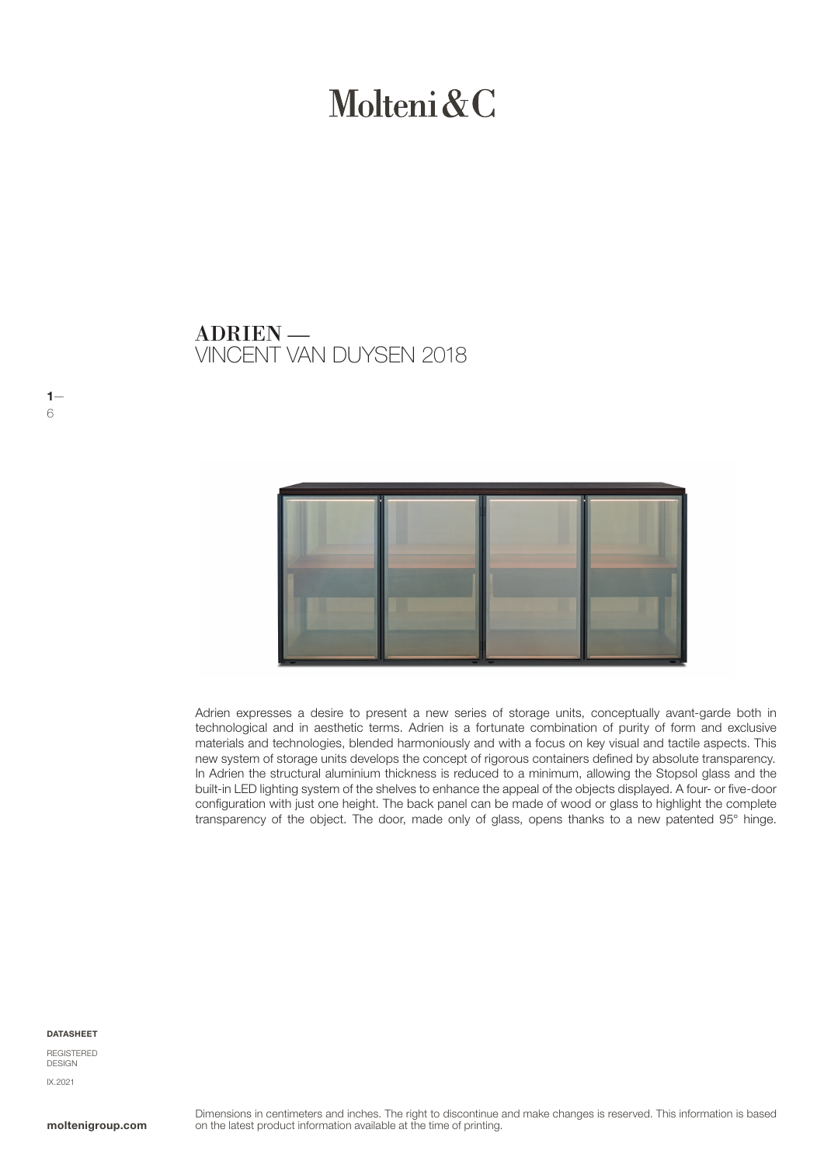# Molteni & C

VINCENT VAN DUYSEN 2018 ADRIEN —

Adrien expresses a desire to present a new series of storage units, conceptually avant-garde both in technological and in aesthetic terms. Adrien is a fortunate combination of purity of form and exclusive materials and technologies, blended harmoniously and with a focus on key visual and tactile aspects. This new system of storage units develops the concept of rigorous containers defined by absolute transparency. In Adrien the structural aluminium thickness is reduced to a minimum, allowing the Stopsol glass and the built-in LED lighting system of the shelves to enhance the appeal of the objects displayed. A four- or five-door configuration with just one height. The back panel can be made of wood or glass to highlight the complete transparency of the object. The door, made only of glass, opens thanks to a new patented 95° hinge.

#### **DATASHEET**

 $1-$ 

6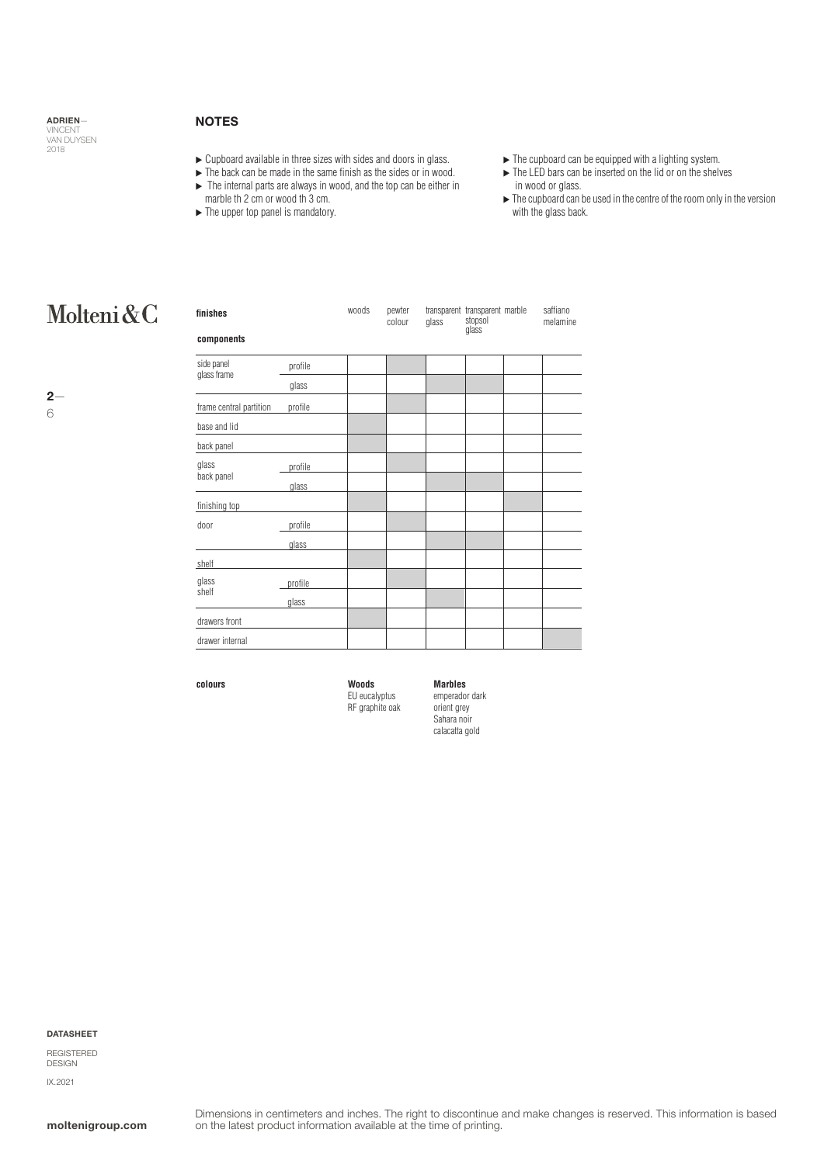### **NOTES**

- $\triangleright$  Cupboard available in three sizes with sides and doors in glass.
- $\blacktriangleright$  The back can be made in the same finish as the sides or in wood.
- $\blacktriangleright$  The internal parts are always in wood, and the top can be either in
- marble th 2 cm or wood th 3 cm.
- $\blacktriangleright$  The upper top panel is mandatory.
- $\blacktriangleright$  The cupboard can be equipped with a lighting system.
- ▶ The LED bars can be inserted on the lid or on the shelves in wood or glass.
- $\blacktriangleright$  The cupboard can be used in the centre of the room only in the version with the glass back.

### Molteni&C

| finishes                  |         | woods | pewter<br>colour | glass | transparent transparent marble<br>stopsol<br>glass | saffiano<br>melamine |
|---------------------------|---------|-------|------------------|-------|----------------------------------------------------|----------------------|
| components                |         |       |                  |       |                                                    |                      |
| side panel<br>glass frame | profile |       |                  |       |                                                    |                      |
|                           | glass   |       |                  |       |                                                    |                      |
| frame central partition   | profile |       |                  |       |                                                    |                      |
| base and lid              |         |       |                  |       |                                                    |                      |
| back panel                |         |       |                  |       |                                                    |                      |
| glass                     | profile |       |                  |       |                                                    |                      |
| back panel                | glass   |       |                  |       |                                                    |                      |
| finishing top             |         |       |                  |       |                                                    |                      |
| door                      | profile |       |                  |       |                                                    |                      |
|                           | glass   |       |                  |       |                                                    |                      |
| shelf                     |         |       |                  |       |                                                    |                      |
| glass<br>shelf            | profile |       |                  |       |                                                    |                      |
|                           | glass   |       |                  |       |                                                    |                      |
| drawers front             |         |       |                  |       |                                                    |                      |
| drawer internal           |         |       |                  |       |                                                    |                      |

**colours**

**Woods** EU eucalyptus RF graphite oak

emperador dark orient grey Sahara noir calacatta gold

**Marbles**

#### DATASHEET

REGISTERED DESIGN IX.2021

 $2-$ 6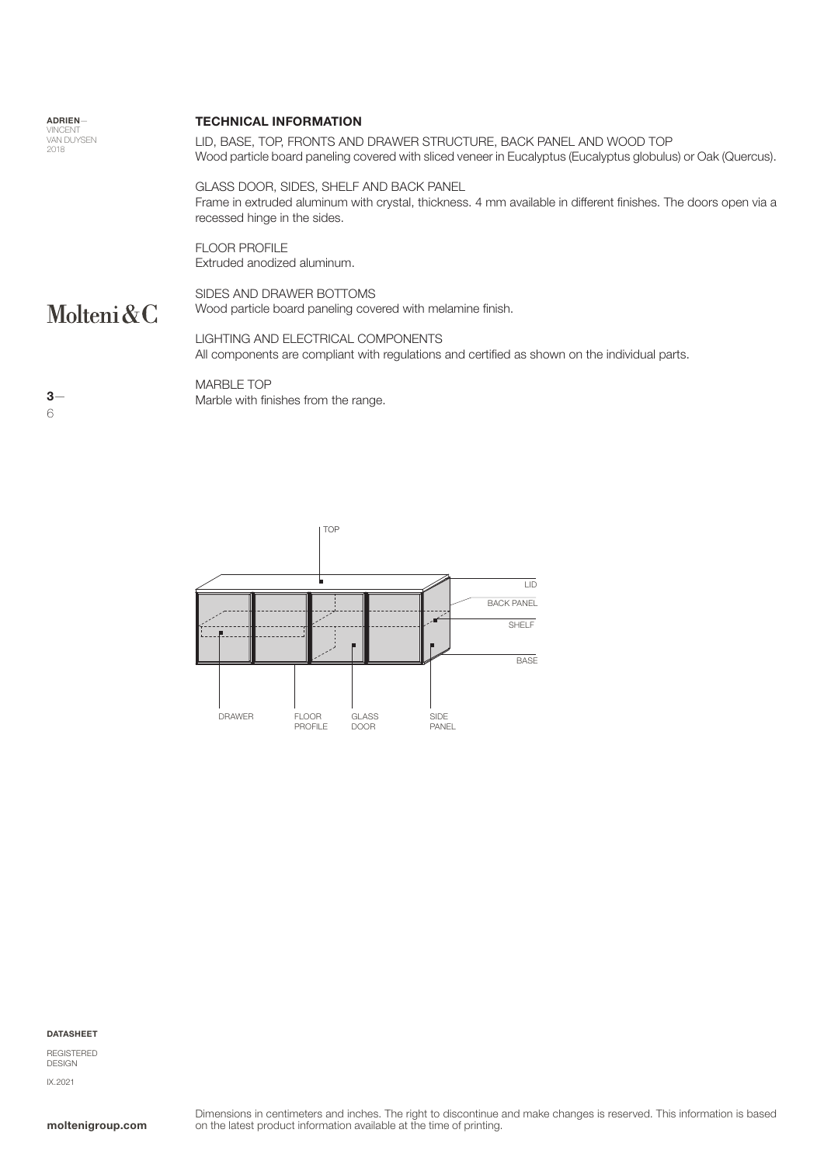| <b>ADRIEN-</b> |  |
|----------------|--|
| <b>VINCENT</b> |  |
| VAN DI IYSEN   |  |
| 2018           |  |

#### TECHNICAL INFORMATION

LID, BASE, TOP, FRONTS AND DRAWER STRUCTURE, BACK PANEL AND WOOD TOP Wood particle board paneling covered with sliced veneer in Eucalyptus (Eucalyptus globulus) or Oak (Quercus).

GLASS DOOR, SIDES, SHELF AND BACK PANEL Frame in extruded aluminum with crystal, thickness. 4 mm available in different finishes. The doors open via a recessed hinge in the sides.

FLOOR PROFILE Extruded anodized aluminum.

# Molteni&C

SIDES AND DRAWER BOTTOMS Wood particle board paneling covered with melamine finish.

LIGHTING AND ELECTRICAL COMPONENTS All components are compliant with regulations and certified as shown on the individual parts.

MARBLE TOP Marble with finishes from the range.



TOP  $\overline{\mathsf{ID}}$ BACK PANEL ... **SHELF BASE** DRAWER FLOOR GLASS FLOOR SIDE PROFILE DOOR PANEL

#### DATASHEET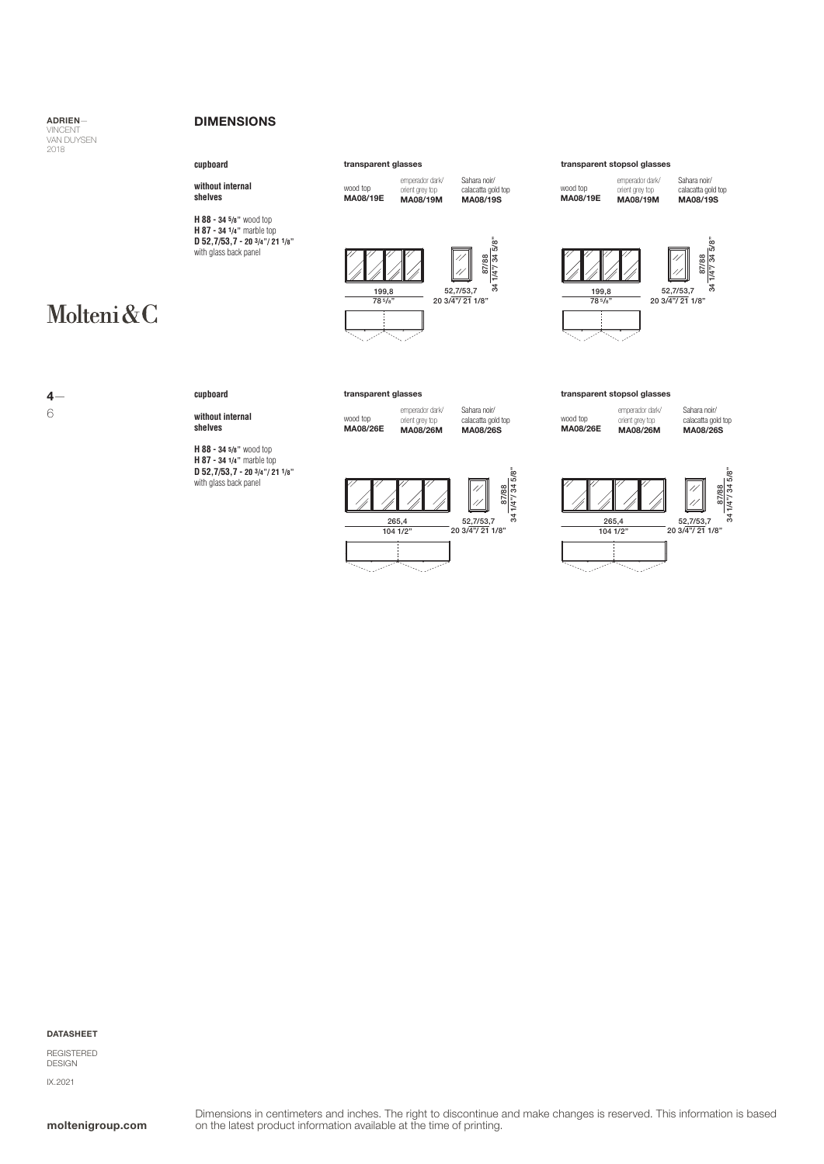#### DIMENSIONS

#### **cupboard**

**without internal shelves**

**H 88 - 34 5/8"** wood top **H 87 - 34 1/4"** marble top **D 52,7/53,7 - 20 3/4"/ 21 1/8"** with glass back panel

# Molteni&C



**cupboard**

**without internal shelves**

**H 88 - 34 5/8"** wood top **H 87 - 34 1/4"** marble top **D 52,7/53,7 - 20 3/4"/ 21 1/8"** with glass back panel

| trananarant alar |  |
|------------------|--|
|                  |  |
|                  |  |

199,8 78 5/8"



wood top MA08/19E

emperador dark/ orient grey top MA08/19M

Sahara noir/ calacatta gold top MA08/19S

34 1/4"/ 34 5/8"

emperador dark/ orient grey top MA08/26M Sahara noir/ calacatta gold top MA08/26S

 $\begin{array}{r} \hline \mathbb{Z} \\ \hline \mathbb{Z} \\ \hline \end{array}$ <br>
52,7/53,7<br>
20 3/4"/ 21 1/8"



ورازيبه

#### transparent glasses transparent stopsol glasses

wood top MA08/19E emperador dark/ orient grey top MA08/19M

Sahara noir/ calacatta gold top MA08/19S





wood top MA08/26E emperador dark/ orient grey top MA08/26M

Sahara noir/ calacatta gold top MA08/26S



#### DATASHEET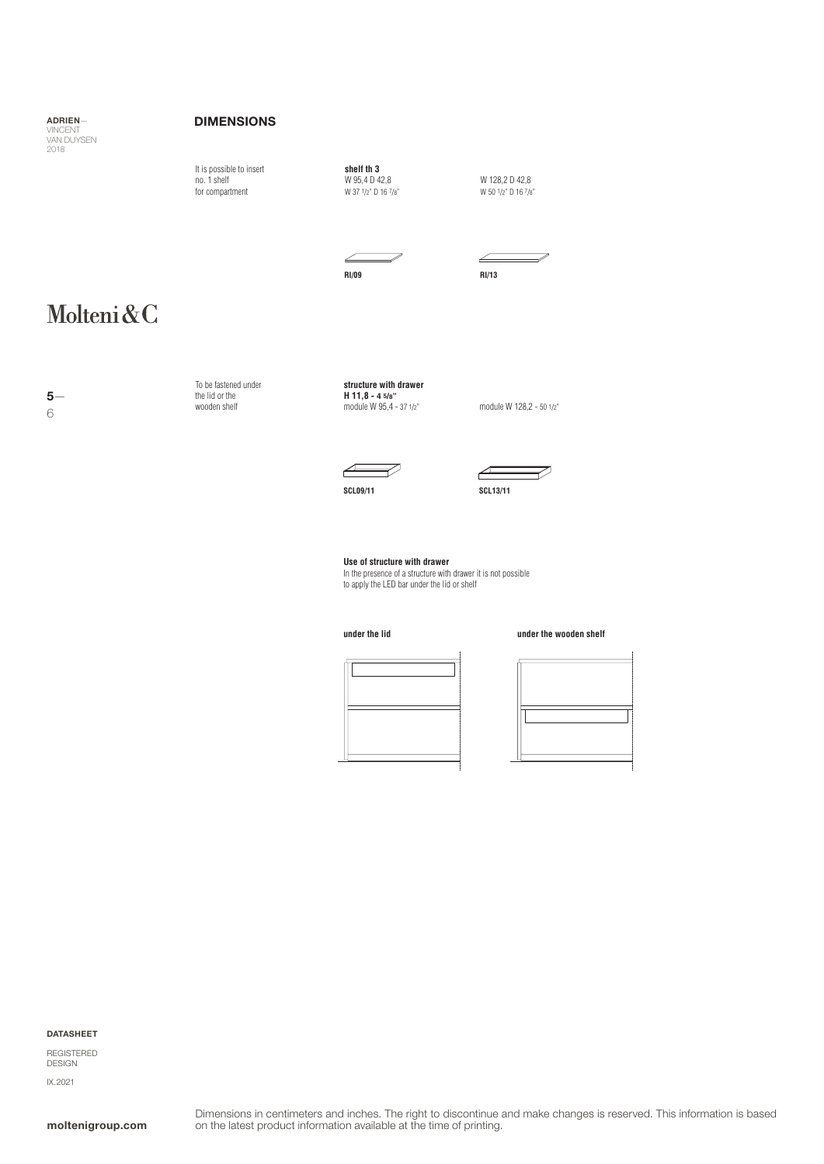#### DIMENSIONS

**shelf th 3** W 95,4 D 42,8 W 37 1/2" D 16 7/8" It is possible to insert no. 1 shelf for compartment W 128,2 D 42,8 W 120,2 D 42,0

 $\sqrt{}$ 

∠ **RI/09 RI/13**

## Molteni&C

5— 6

To be fastened under the lid or the wooden shelf

**structure with drawer H 11,8 - 4 5/8"** module W 95,4 - 37 1/2"

module W 128,2 - 50 1/2"





**Use of structure with drawer** In the presence of a structure with drawer it is not possible to apply the LED bar under the lid or shelf

**under the lid under the wooden shelf**



DATASHEET